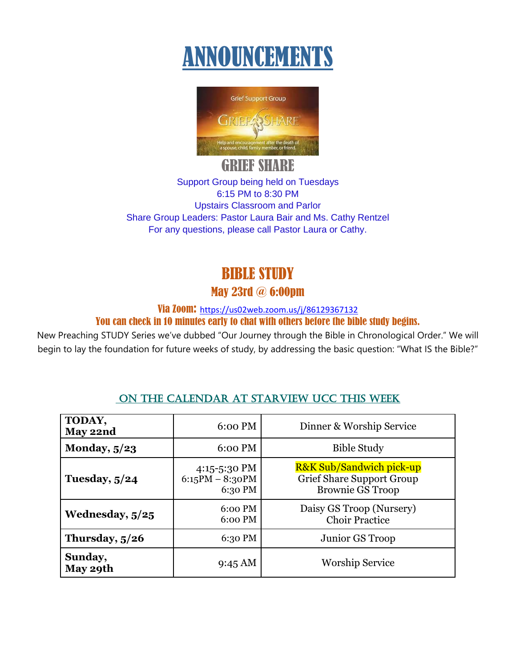# ANNOUNCEMENTS



#### GRIEF SHARE Support Group being held on Tuesdays 6:15 PM to 8:30 PM Upstairs Classroom and Parlor Share Group Leaders: Pastor Laura Bair and Ms. Cathy Rentzel For any questions, please call Pastor Laura or Cathy.

## BIBLE STUDY May 23rd @ 6:00pm

Via Zoom: <https://us02web.zoom.us/j/86129367132>

#### You can check in 10 minutes early to chat with others before the bible study begins.

New Preaching STUDY Series we've dubbed "Our Journey through the Bible in Chronological Order." We will begin to lay the foundation for future weeks of study, by addressing the basic question: "What IS the Bible?"

| TODAY,<br>May 22nd  | $6:00 \text{ PM}$                            | Dinner & Worship Service                                                                           |
|---------------------|----------------------------------------------|----------------------------------------------------------------------------------------------------|
| Monday, $5/23$      | 6:00 PM                                      | <b>Bible Study</b>                                                                                 |
| Tuesday, 5/24       | 4:15-5:30 PM<br>$6:15PM - 8:3OPM$<br>6:30 PM | <b>R&amp;K Sub/Sandwich pick-up</b><br><b>Grief Share Support Group</b><br><b>Brownie GS Troop</b> |
| Wednesday, 5/25     | 6:00 PM<br>6:00 PM                           | Daisy GS Troop (Nursery)<br><b>Choir Practice</b>                                                  |
| Thursday, $5/26$    | 6:30 PM                                      | Junior GS Troop                                                                                    |
| Sunday,<br>May 29th | $9:45 \text{ AM}$                            | <b>Worship Service</b>                                                                             |

### On the Calendar at Starview UCC this week